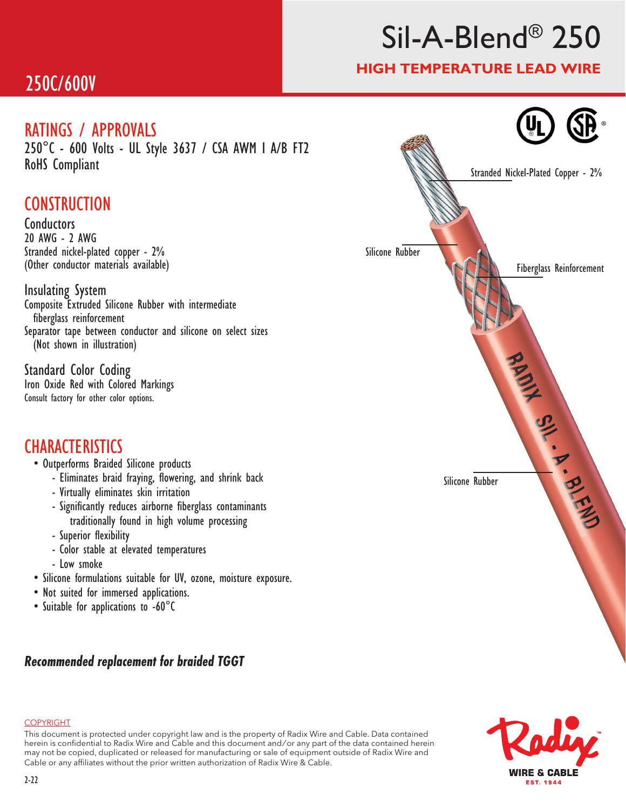### 250C/600V

### RATINGS / APPROVALS

250°C - 600 Volts - UL Style 3637 / CSA AWM I A/B FT2 RoHS Compliant

### **CONSTRUCTION**

Conductors 20 AWG - 2 AWG Stranded nickel-plated copper - 2% (Other conductor materials available)

Insulating System Composite Extruded Silicone Rubber with intermediate fiberglass reinforcement Separator tape between conductor and silicone on select sizes (Not shown in illustration)

Standard Color Coding Iron Oxide Red with Colored Markings Consult factory for other color options.

### **CHARACTERISTICS**

#### • Outperforms Braided Silicone products

- Eliminates braid fraying, flowering, and shrink back
- Virtually eliminates skin irritation
- Significantly reduces airborne fiberglass contaminants traditionally found in high volume processing
- Superior flexibility
- Color stable at elevated temperatures
- Low smoke
- Silicone formulations suitable for UV, ozone, moisture exposure.
- Not suited for immersed applications.
- Suitable for applications to -60°C

### *Recommended replacement for braided TGGT*





Fiberglass Reinforcement

®

#### **COPYRIGHT**

This document is protected under copyright law and is the property of Radix Wire and Cable. Data contained herein is confidential to Radix Wire and Cable and this document and / or any part of the data contained herein may not be copied, duplicated or released for manufacturing or sale of equipment outside of Radix Wire and Cable or any affiliates without the prior written authorization of Radix Wire & Cable.

# Sil-A-Blend® 250

### HIGH TEMPERATURE LEAD WIRE